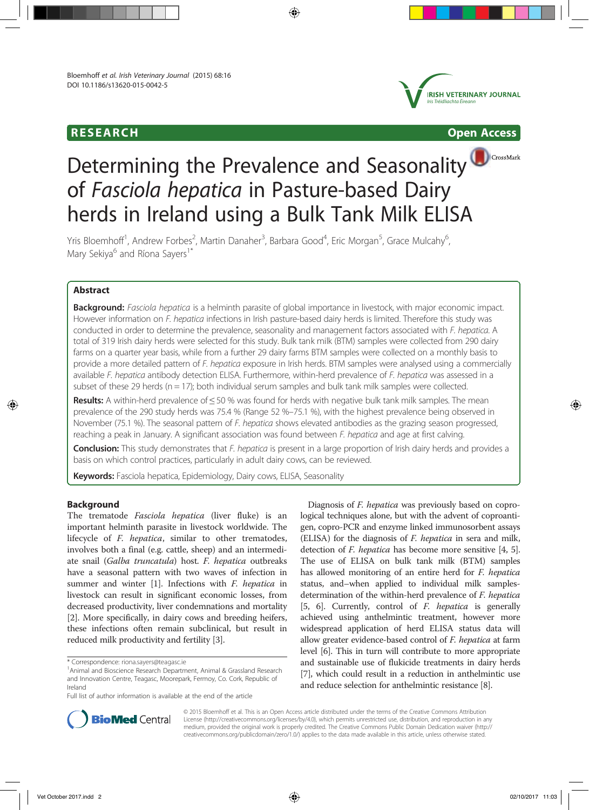# RESEARCH Open Access





CrossMark

# Determining the Prevalence and Seasonality of Fasciola hepatica in Pasture-based Dairy herds in Ireland using a Bulk Tank Milk ELISA

Yris Bloemhoff<sup>1</sup>, Andrew Forbes<sup>2</sup>, Martin Danaher<sup>3</sup>, Barbara Good<sup>4</sup>, Eric Morgan<sup>5</sup>, Grace Mulcahy<sup>6</sup> , Mary Sekiya<sup>6</sup> and Ríona Sayers<sup>1\*</sup>

# Abstract

Background: Fasciola hepatica is a helminth parasite of global importance in livestock, with major economic impact. However information on F. hepatica infections in Irish pasture-based dairy herds is limited. Therefore this study was conducted in order to determine the prevalence, seasonality and management factors associated with F. hepatica. A total of 319 Irish dairy herds were selected for this study. Bulk tank milk (BTM) samples were collected from 290 dairy farms on a quarter year basis, while from a further 29 dairy farms BTM samples were collected on a monthly basis to provide a more detailed pattern of F. hepatica exposure in Irish herds. BTM samples were analysed using a commercially available F. hepatica antibody detection ELISA. Furthermore, within-herd prevalence of F. hepatica was assessed in a subset of these 29 herds ( $n = 17$ ); both individual serum samples and bulk tank milk samples were collected.

Results: A within-herd prevalence of <50 % was found for herds with negative bulk tank milk samples. The mean prevalence of the 290 study herds was 75.4 % (Range 52 %–75.1 %), with the highest prevalence being observed in November (75.1 %). The seasonal pattern of F. hepatica shows elevated antibodies as the grazing season progressed, reaching a peak in January. A significant association was found between F. hepatica and age at first calving.

Conclusion: This study demonstrates that F. hepatica is present in a large proportion of Irish dairy herds and provides a basis on which control practices, particularly in adult dairy cows, can be reviewed.

Keywords: Fasciola hepatica, Epidemiology, Dairy cows, ELISA, Seasonality

# **Background**

The trematode *Fasciola hepatica* (liver fluke) is an important helminth parasite in livestock worldwide. The lifecycle of F. hepatica, similar to other trematodes, involves both a final (e.g. cattle, sheep) and an intermediate snail (Galba truncatula) host. F. hepatica outbreaks have a seasonal pattern with two waves of infection in summer and winter [1]. Infections with *F. hepatica* in livestock can result in significant economic losses, from decreased productivity, liver condemnations and mortality [2]. More specifically, in dairy cows and breeding heifers, these infections often remain subclinical, but result in reduced milk productivity and fertility [3].

Diagnosis of F. hepatica was previously based on coprological techniques alone, but with the advent of coproantigen, copro-PCR and enzyme linked immunosorbent assays (ELISA) for the diagnosis of F. hepatica in sera and milk, detection of *F. hepatica* has become more sensitive [4, 5]. The use of ELISA on bulk tank milk (BTM) samples has allowed monitoring of an entire herd for F. hepatica status, and–when applied to individual milk samplesdetermination of the within-herd prevalence of F. hepatica [5, 6]. Currently, control of F. hepatica is generally achieved using anthelmintic treatment, however more widespread application of herd ELISA status data will allow greater evidence-based control of F. hepatica at farm level [6]. This in turn will contribute to more appropriate and sustainable use of flukicide treatments in dairy herds [7], which could result in a reduction in anthelmintic use and reduce selection for anthelmintic resistance [8].



© 2015 Bloemhoff et al. This is an Open Access article distributed under the terms of the Creative Commons Attribution License (http://creativecommons.org/licenses/by/4.0), which permits unrestricted use, distribution, and reproduction in any medium, provided the original work is properly credited. The Creative Commons Public Domain Dedication waiver (http:// creativecommons.org/publicdomain/zero/1.0/) applies to the data made available in this article, unless otherwise stated.

<sup>\*</sup> Correspondence: riona.sayers@teagasc.ie <sup>1</sup>

<sup>&</sup>lt;sup>1</sup> Animal and Bioscience Research Department, Animal & Grassland Research and Innovation Centre, Teagasc, Moorepark, Fermoy, Co. Cork, Republic of Ireland

Full list of author information is available at the end of the article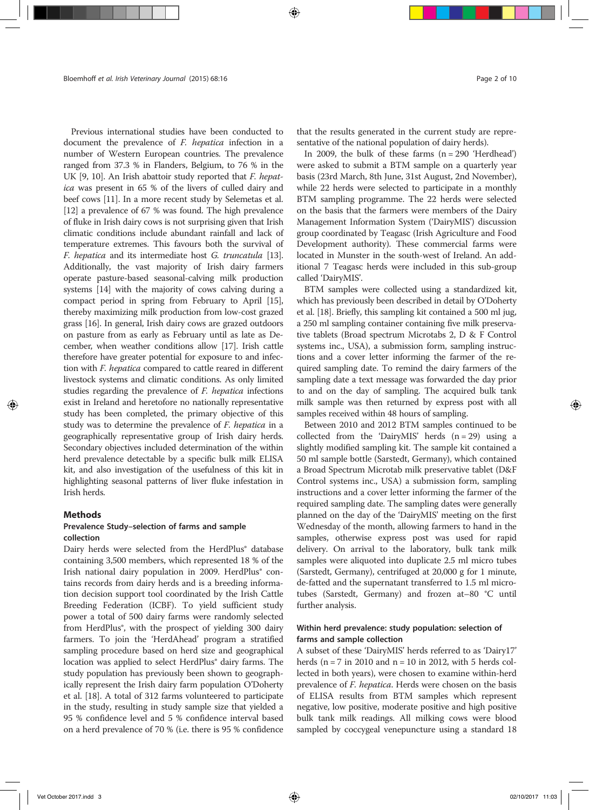Previous international studies have been conducted to document the prevalence of *F. hepatica* infection in a number of Western European countries. The prevalence ranged from 37.3 % in Flanders, Belgium, to 76 % in the UK [9, 10]. An Irish abattoir study reported that F. hepatica was present in 65 % of the livers of culled dairy and beef cows [11]. In a more recent study by Selemetas et al. [12] a prevalence of 67 % was found. The high prevalence of fluke in Irish dairy cows is not surprising given that Irish climatic conditions include abundant rainfall and lack of temperature extremes. This favours both the survival of F. hepatica and its intermediate host G. truncatula [13]. Additionally, the vast majority of Irish dairy farmers operate pasture-based seasonal-calving milk production systems [14] with the majority of cows calving during a compact period in spring from February to April [15], thereby maximizing milk production from low-cost grazed grass [16]. In general, Irish dairy cows are grazed outdoors on pasture from as early as February until as late as December, when weather conditions allow [17]. Irish cattle therefore have greater potential for exposure to and infection with F. hepatica compared to cattle reared in different livestock systems and climatic conditions. As only limited studies regarding the prevalence of F. hepatica infections exist in Ireland and heretofore no nationally representative study has been completed, the primary objective of this study was to determine the prevalence of F. hepatica in a geographically representative group of Irish dairy herds. Secondary objectives included determination of the within herd prevalence detectable by a specific bulk milk ELISA kit, and also investigation of the usefulness of this kit in highlighting seasonal patterns of liver fluke infestation in Irish herds.

#### **Methods**

# Prevalence Study–selection of farms and sample collection

Dairy herds were selected from the HerdPlus® database containing 3,500 members, which represented 18 % of the Irish national dairy population in 2009. HerdPlus<sup>®</sup> contains records from dairy herds and is a breeding information decision support tool coordinated by the Irish Cattle Breeding Federation (ICBF). To yield sufficient study power a total of 500 dairy farms were randomly selected from HerdPlus®, with the prospect of yielding 300 dairy farmers. To join the 'HerdAhead' program a stratified sampling procedure based on herd size and geographical location was applied to select HerdPlus<sup>®</sup> dairy farms. The study population has previously been shown to geographically represent the Irish dairy farm population O'Doherty et al. [18]. A total of 312 farms volunteered to participate in the study, resulting in study sample size that yielded a 95 % confidence level and 5 % confidence interval based on a herd prevalence of 70 % (i.e. there is 95 % confidence

that the results generated in the current study are representative of the national population of dairy herds).

In 2009, the bulk of these farms  $(n = 290$  'Herdhead') were asked to submit a BTM sample on a quarterly year basis (23rd March, 8th June, 31st August, 2nd November), while 22 herds were selected to participate in a monthly BTM sampling programme. The 22 herds were selected on the basis that the farmers were members of the Dairy Management Information System ('DairyMIS') discussion group coordinated by Teagasc (Irish Agriculture and Food Development authority). These commercial farms were located in Munster in the south-west of Ireland. An additional 7 Teagasc herds were included in this sub-group called 'DairyMIS'.

BTM samples were collected using a standardized kit, which has previously been described in detail by O'Doherty et al. [18]. Briefly, this sampling kit contained a 500 ml jug, a 250 ml sampling container containing five milk preservative tablets (Broad spectrum Microtabs 2, D & F Control systems inc., USA), a submission form, sampling instructions and a cover letter informing the farmer of the required sampling date. To remind the dairy farmers of the sampling date a text message was forwarded the day prior to and on the day of sampling. The acquired bulk tank milk sample was then returned by express post with all samples received within 48 hours of sampling.

Between 2010 and 2012 BTM samples continued to be collected from the 'DairyMIS' herds  $(n = 29)$  using a slightly modified sampling kit. The sample kit contained a 50 ml sample bottle (Sarstedt, Germany), which contained a Broad Spectrum Microtab milk preservative tablet (D&F Control systems inc., USA) a submission form, sampling instructions and a cover letter informing the farmer of the required sampling date. The sampling dates were generally planned on the day of the 'DairyMIS' meeting on the first Wednesday of the month, allowing farmers to hand in the samples, otherwise express post was used for rapid delivery. On arrival to the laboratory, bulk tank milk samples were aliquoted into duplicate 2.5 ml micro tubes (Sarstedt, Germany), centrifuged at 20,000 g for 1 minute, de-fatted and the supernatant transferred to 1.5 ml microtubes (Sarstedt, Germany) and frozen at–80 °C until further analysis.

# Within herd prevalence: study population: selection of farms and sample collection

A subset of these 'DairyMIS' herds referred to as 'Dairy17' herds ( $n = 7$  in 2010 and  $n = 10$  in 2012, with 5 herds collected in both years), were chosen to examine within-herd prevalence of F. hepatica. Herds were chosen on the basis of ELISA results from BTM samples which represent negative, low positive, moderate positive and high positive bulk tank milk readings. All milking cows were blood sampled by coccygeal venepuncture using a standard 18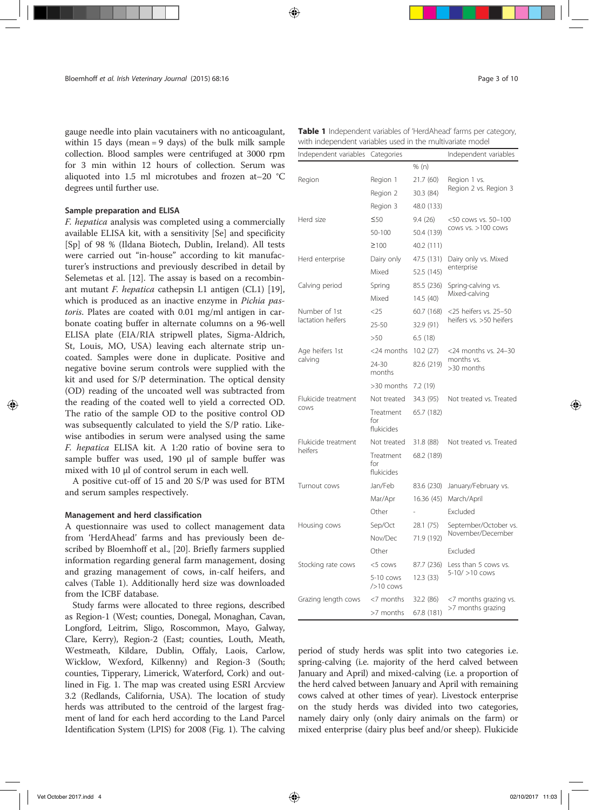gauge needle into plain vacutainers with no anticoagulant, within 15 days (mean = 9 days) of the bulk milk sample collection. Blood samples were centrifuged at 3000 rpm for 3 min within 12 hours of collection. Serum was aliquoted into 1.5 ml microtubes and frozen at–20 °C degrees until further use.

#### Sample preparation and ELISA

F. hepatica analysis was completed using a commercially available ELISA kit, with a sensitivity [Se] and specificity [Sp] of 98 % (Ildana Biotech, Dublin, Ireland). All tests were carried out "in-house" according to kit manufacturer's instructions and previously described in detail by Selemetas et al. [12]. The assay is based on a recombinant mutant F. hepatica cathepsin L1 antigen (CL1) [19], which is produced as an inactive enzyme in Pichia pastoris. Plates are coated with 0.01 mg/ml antigen in carbonate coating buffer in alternate columns on a 96-well ELISA plate (EIA/RIA stripwell plates, Sigma-Aldrich, St, Louis, MO, USA) leaving each alternate strip uncoated. Samples were done in duplicate. Positive and negative bovine serum controls were supplied with the kit and used for S/P determination. The optical density (OD) reading of the uncoated well was subtracted from the reading of the coated well to yield a corrected OD. The ratio of the sample OD to the positive control OD was subsequently calculated to yield the S/P ratio. Likewise antibodies in serum were analysed using the same F. hepatica ELISA kit. A 1:20 ratio of bovine sera to sample buffer was used, 190 μl of sample buffer was mixed with 10 μl of control serum in each well.

A positive cut-off of 15 and 20 S/P was used for BTM and serum samples respectively.

#### Management and herd classification

A questionnaire was used to collect management data from 'HerdAhead' farms and has previously been described by Bloemhoff et al., [20]. Briefly farmers supplied information regarding general farm management, dosing and grazing management of cows, in-calf heifers, and calves (Table 1). Additionally herd size was downloaded from the ICBF database.

Study farms were allocated to three regions, described as Region-1 (West; counties, Donegal, Monaghan, Cavan, Longford, Leitrim, Sligo, Roscommon, Mayo, Galway, Clare, Kerry), Region-2 (East; counties, Louth, Meath, Westmeath, Kildare, Dublin, Offaly, Laois, Carlow, Wicklow, Wexford, Kilkenny) and Region-3 (South; counties, Tipperary, Limerick, Waterford, Cork) and outlined in Fig. 1. The map was created using ESRI Arcview 3.2 (Redlands, California, USA). The location of study herds was attributed to the centroid of the largest fragment of land for each herd according to the Land Parcel Identification System (LPIS) for 2008 (Fig. 1). The calving

| <b>Table 1</b> Independent variables of 'HerdAhead' farms per category, |  |
|-------------------------------------------------------------------------|--|
| with independent variables used in the multivariate model               |  |

| Independent variables       | Categories                     |            | Independent variables    |
|-----------------------------|--------------------------------|------------|--------------------------|
|                             |                                | % (n)      |                          |
| Region                      | Region 1                       | 21.7 (60)  | Region 1 vs.             |
|                             | Region 2                       | 30.3 (84)  | Region 2 vs. Region 3    |
|                             | Region 3                       | 48.0 (133) |                          |
| Herd size                   | $\leq 50$                      | 9.4(26)    | <50 cows vs. 50-100      |
|                             | $50 - 100$                     | 50.4 (139) | cows vs. >100 cows       |
|                             | ≥100                           | 40.2 (111) |                          |
| Herd enterprise             | Dairy only                     | 47.5 (131) | Dairy only vs. Mixed     |
|                             | Mixed                          | 52.5 (145) | enterprise               |
| Calving period              | Spring                         | 85.5 (236) | Spring-calving vs.       |
|                             | Mixed                          | 14.5 (40)  | Mixed-calving            |
| Number of 1st               | 25                             | 60.7 (168) | <25 heifers vs. 25-50    |
| lactation heifers           | 25-50                          | 32.9 (91)  | heifers vs. >50 heifers  |
|                             | >50                            | 6.5(18)    |                          |
| Age heifers 1st<br>calving  | $<$ 24 months                  | 10.2(27)   | <24 months vs. 24-30     |
|                             | 24-30<br>months                | 82.6 (219) | months vs.<br>>30 months |
|                             | >30 months                     | 7.2 (19)   |                          |
| Flukicide treatment<br>COWS | Not treated                    | 34.3 (95)  | Not treated vs. Treated  |
|                             | Treatment<br>for<br>flukicides | 65.7 (182) |                          |
| Flukicide treatment         | Not treated                    | 31.8 (88)  | Not treated vs. Treated  |
| heifers                     | Treatment<br>for<br>flukicides | 68.2 (189) |                          |
| Turnout cows                | Jan/Feb                        | 83.6 (230) | January/February vs.     |
|                             | Mar/Apr                        | 16.36 (45) | March/April              |
|                             | Other                          |            | Excluded                 |
| Housing cows                | Sep/Oct                        | 28.1 (75)  | September/October vs.    |
|                             | Nov/Dec                        | 71.9 (192) | November/December        |
|                             | Other                          |            | Excluded                 |
| Stocking rate cows          | <5 cows                        | 87.7 (236) | Less than 5 cows vs.     |
|                             | 5-10 cows<br>$/$ >10 cows      | 12.3 (33)  | 5-10/ >10 cows           |
| Grazing length cows         | <7 months                      | 32.2 (86)  | <7 months grazing vs.    |
|                             | >7 months                      | 67.8 (181) | >7 months grazing        |

period of study herds was split into two categories i.e. spring-calving (i.e. majority of the herd calved between January and April) and mixed-calving (i.e. a proportion of the herd calved between January and April with remaining cows calved at other times of year). Livestock enterprise on the study herds was divided into two categories, namely dairy only (only dairy animals on the farm) or mixed enterprise (dairy plus beef and/or sheep). Flukicide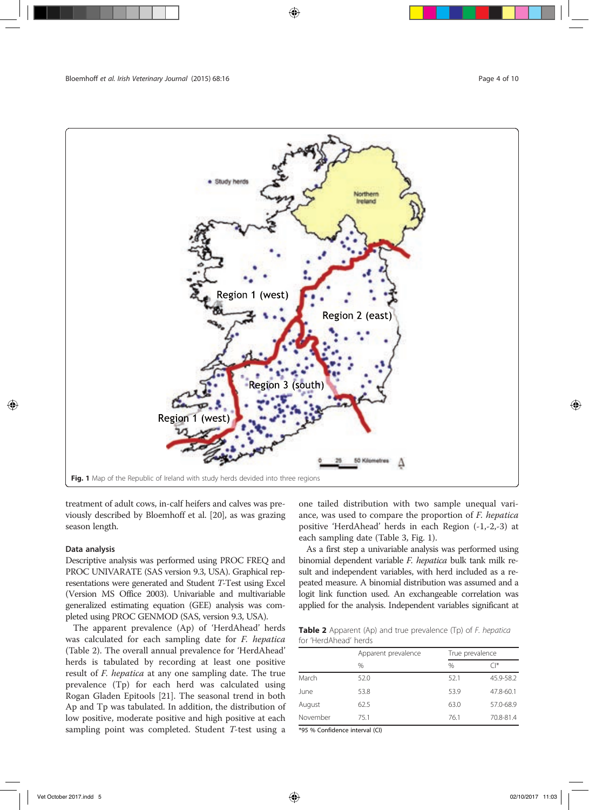

treatment of adult cows, in-calf heifers and calves was previously described by Bloemhoff et al. [20], as was grazing season length.

# Data analysis

Descriptive analysis was performed using PROC FREQ and PROC UNIVARATE (SAS version 9.3, USA). Graphical representations were generated and Student T-Test using Excel (Version MS Office 2003). Univariable and multivariable generalized estimating equation (GEE) analysis was completed using PROC GENMOD (SAS, version 9.3, USA).

The apparent prevalence (Ap) of 'HerdAhead' herds was calculated for each sampling date for F. hepatica (Table 2). The overall annual prevalence for 'HerdAhead' herds is tabulated by recording at least one positive result of F. hepatica at any one sampling date. The true prevalence (Tp) for each herd was calculated using Rogan Gladen Epitools [21]. The seasonal trend in both Ap and Tp was tabulated. In addition, the distribution of low positive, moderate positive and high positive at each sampling point was completed. Student T-test using a one tailed distribution with two sample unequal variance, was used to compare the proportion of F. hepatica positive 'HerdAhead' herds in each Region (-1,-2,-3) at each sampling date (Table 3, Fig. 1).

As a first step a univariable analysis was performed using binomial dependent variable F. hepatica bulk tank milk result and independent variables, with herd included as a repeated measure. A binomial distribution was assumed and a logit link function used. An exchangeable correlation was applied for the analysis. Independent variables significant at

Table 2 Apparent (Ap) and true prevalence (Tp) of F. hepatica for 'HerdAhead' herds

|          | Apparent prevalence |      | True prevalence |  |  |
|----------|---------------------|------|-----------------|--|--|
|          | $\%$                | $\%$ | $\bigcap^*$     |  |  |
| March    | 52.0                | 52.1 | 45.9-58.2       |  |  |
| June     | 53.8                | 53.9 | 47.8-60.1       |  |  |
| August   | 62.5                | 63.0 | 57.0-68.9       |  |  |
| November | 75.1                | 76.1 | 70.8-81.4       |  |  |

\*95 % Confidence interval (CI)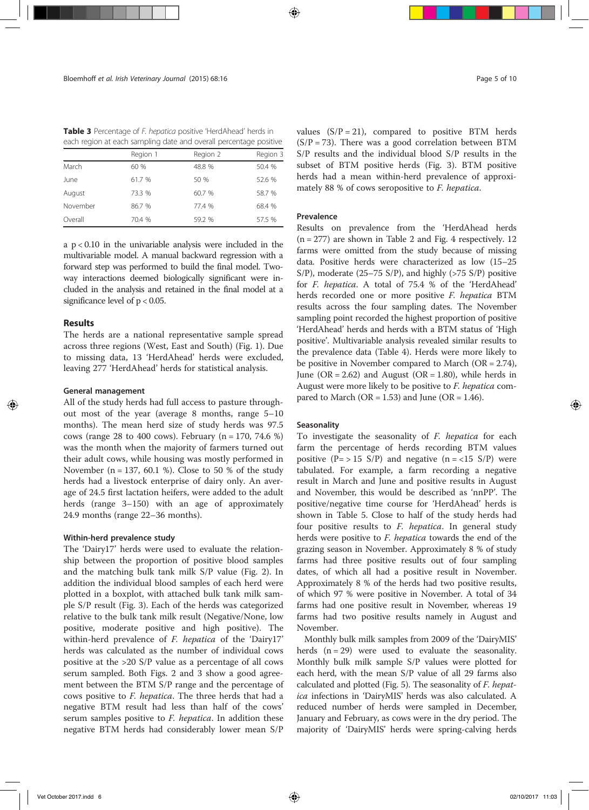Table 3 Percentage of F. hepatica positive 'HerdAhead' herds in each region at each sampling date and overall percentage positive

|          | Region 1 | Region 2 | Region 3 |
|----------|----------|----------|----------|
| March    | 60%      | 48.8 %   | 50.4 %   |
| June     | 61.7 %   | 50 %     | 52.6 %   |
| August   | 73.3 %   | 60.7 %   | 58.7 %   |
| November | 86.7 %   | 77.4 %   | 68.4 %   |
| Overall  | 70.4 %   | 59.2 %   | 57.5 %   |
|          |          |          |          |

a p < 0.10 in the univariable analysis were included in the multivariable model. A manual backward regression with a forward step was performed to build the final model. Twoway interactions deemed biologically significant were included in the analysis and retained in the final model at a significance level of p < 0.05.

#### **Results**

The herds are a national representative sample spread across three regions (West, East and South) (Fig. 1). Due to missing data, 13 'HerdAhead' herds were excluded, leaving 277 'HerdAhead' herds for statistical analysis.

# General management

All of the study herds had full access to pasture throughout most of the year (average 8 months, range 5–10 months). The mean herd size of study herds was 97.5 cows (range 28 to 400 cows). February ( $n = 170, 74.6 %$ ) was the month when the majority of farmers turned out their adult cows, while housing was mostly performed in November ( $n = 137, 60.1$  %). Close to 50 % of the study herds had a livestock enterprise of dairy only. An average of 24.5 first lactation heifers, were added to the adult herds (range 3–150) with an age of approximately 24.9 months (range 22–36 months).

#### Within-herd prevalence study

The 'Dairy17' herds were used to evaluate the relationship between the proportion of positive blood samples and the matching bulk tank milk S/P value (Fig. 2). In addition the individual blood samples of each herd were plotted in a boxplot, with attached bulk tank milk sample S/P result (Fig. 3). Each of the herds was categorized relative to the bulk tank milk result (Negative/None, low positive, moderate positive and high positive). The within-herd prevalence of F. hepatica of the 'Dairy17' herds was calculated as the number of individual cows positive at the >20 S/P value as a percentage of all cows serum sampled. Both Figs. 2 and 3 show a good agreement between the BTM S/P range and the percentage of cows positive to F. hepatica. The three herds that had a negative BTM result had less than half of the cows' serum samples positive to F. hepatica. In addition these negative BTM herds had considerably lower mean S/P values  $(S/P = 21)$ , compared to positive BTM herds  $(S/P = 73)$ . There was a good correlation between BTM S/P results and the individual blood S/P results in the subset of BTM positive herds (Fig. 3). BTM positive herds had a mean within-herd prevalence of approximately 88 % of cows seropositive to F. hepatica.

#### Prevalence

Results on prevalence from the 'HerdAhead herds  $(n = 277)$  are shown in Table 2 and Fig. 4 respectively. 12 farms were omitted from the study because of missing data. Positive herds were characterized as low (15–25 S/P), moderate (25–75 S/P), and highly ( $>75$  S/P) positive for F. hepatica. A total of 75.4 % of the 'HerdAhead' herds recorded one or more positive F. hepatica BTM results across the four sampling dates. The November sampling point recorded the highest proportion of positive 'HerdAhead' herds and herds with a BTM status of 'High positive'. Multivariable analysis revealed similar results to the prevalence data (Table 4). Herds were more likely to be positive in November compared to March  $(OR = 2.74)$ , June ( $OR = 2.62$ ) and August ( $OR = 1.80$ ), while herds in August were more likely to be positive to F. hepatica compared to March (OR =  $1.53$ ) and June (OR =  $1.46$ ).

#### **Seasonality**

To investigate the seasonality of F. hepatica for each farm the percentage of herds recording BTM values positive  $(P = > 15 S/P)$  and negative  $(n = < 15 S/P)$  were tabulated. For example, a farm recording a negative result in March and June and positive results in August and November, this would be described as 'nnPP'. The positive/negative time course for 'HerdAhead' herds is shown in Table 5. Close to half of the study herds had four positive results to F. hepatica. In general study herds were positive to F. hepatica towards the end of the grazing season in November. Approximately 8 % of study farms had three positive results out of four sampling dates, of which all had a positive result in November. Approximately 8 % of the herds had two positive results, of which 97 % were positive in November. A total of 34 farms had one positive result in November, whereas 19 farms had two positive results namely in August and November.

Monthly bulk milk samples from 2009 of the 'DairyMIS' herds  $(n = 29)$  were used to evaluate the seasonality. Monthly bulk milk sample S/P values were plotted for each herd, with the mean S/P value of all 29 farms also calculated and plotted (Fig. 5). The seasonality of F. hepatica infections in 'DairyMIS' herds was also calculated. A reduced number of herds were sampled in December, January and February, as cows were in the dry period. The majority of 'DairyMIS' herds were spring-calving herds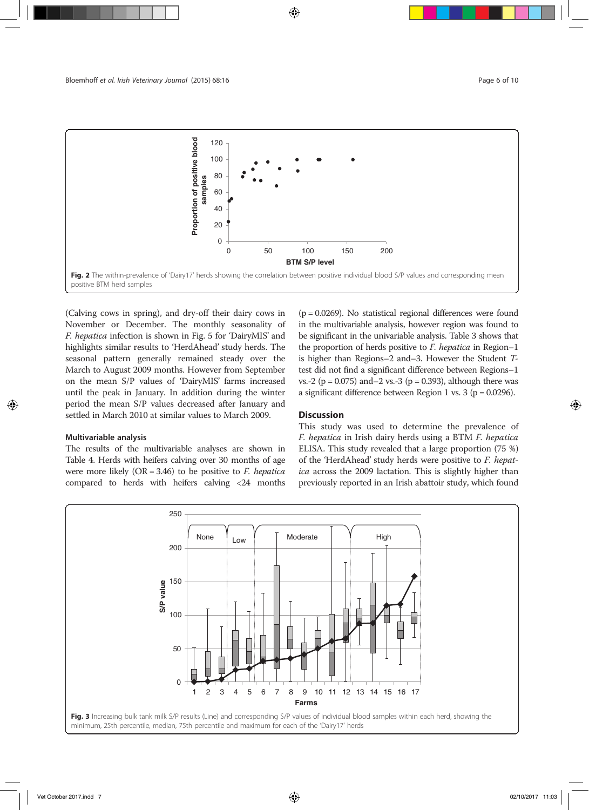

(Calving cows in spring), and dry-off their dairy cows in November or December. The monthly seasonality of F. hepatica infection is shown in Fig. 5 for 'DairyMIS' and highlights similar results to 'HerdAhead' study herds. The seasonal pattern generally remained steady over the March to August 2009 months. However from September on the mean S/P values of 'DairyMIS' farms increased until the peak in January. In addition during the winter period the mean S/P values decreased after January and settled in March 2010 at similar values to March 2009.

#### Multivariable analysis

The results of the multivariable analyses are shown in Table 4. Herds with heifers calving over 30 months of age were more likely  $(OR = 3.46)$  to be positive to *F. hepatica* compared to herds with heifers calving <24 months  $(p = 0.0269)$ . No statistical regional differences were found in the multivariable analysis, however region was found to be significant in the univariable analysis. Table 3 shows that the proportion of herds positive to F. hepatica in Region–1 is higher than Regions–2 and–3. However the Student Ttest did not find a significant difference between Regions–1 vs.-2 ( $p = 0.075$ ) and–2 vs.-3 ( $p = 0.393$ ), although there was a significant difference between Region 1 vs. 3 ( $p = 0.0296$ ).

## **Discussion**

This study was used to determine the prevalence of F. hepatica in Irish dairy herds using a BTM F. hepatica ELISA. This study revealed that a large proportion (75 %) of the 'HerdAhead' study herds were positive to F. hepatica across the 2009 lactation. This is slightly higher than previously reported in an Irish abattoir study, which found

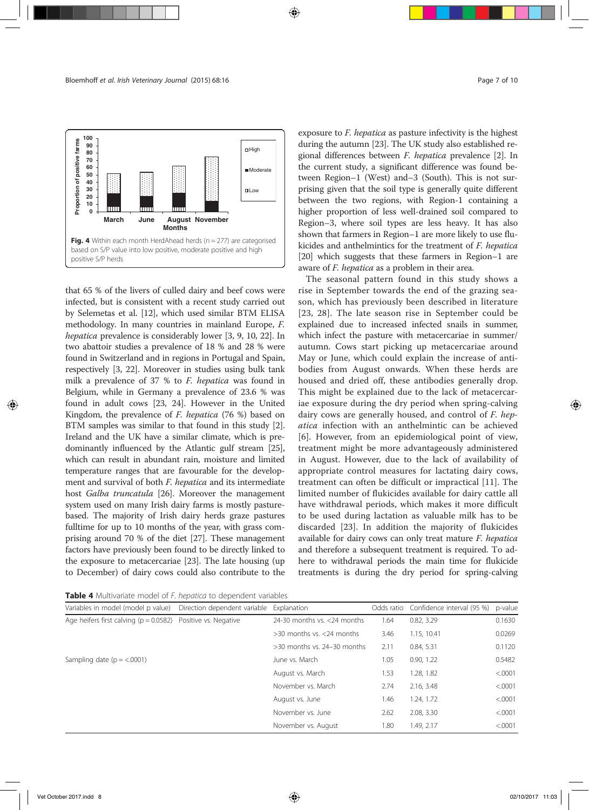

that 65 % of the livers of culled dairy and beef cows were infected, but is consistent with a recent study carried out by Selemetas et al. [12], which used similar BTM ELISA methodology. In many countries in mainland Europe, F. hepatica prevalence is considerably lower [3, 9, 10, 22]. In two abattoir studies a prevalence of 18 % and 28 % were found in Switzerland and in regions in Portugal and Spain, respectively [3, 22]. Moreover in studies using bulk tank milk a prevalence of 37 % to F. hepatica was found in Belgium, while in Germany a prevalence of 23.6 % was found in adult cows [23, 24]. However in the United Kingdom, the prevalence of *F. hepatica* (76 %) based on BTM samples was similar to that found in this study [2]. Ireland and the UK have a similar climate, which is predominantly influenced by the Atlantic gulf stream [25], which can result in abundant rain, moisture and limited temperature ranges that are favourable for the development and survival of both F. hepatica and its intermediate host Galba truncatula [26]. Moreover the management system used on many Irish dairy farms is mostly pasturebased. The majority of Irish dairy herds graze pastures fulltime for up to 10 months of the year, with grass comprising around 70 % of the diet [27]. These management factors have previously been found to be directly linked to the exposure to metacercariae [23]. The late housing (up to December) of dairy cows could also contribute to the exposure to F. hepatica as pasture infectivity is the highest during the autumn [23]. The UK study also established regional differences between F. hepatica prevalence [2]. In the current study, a significant difference was found between Region–1 (West) and–3 (South). This is not surprising given that the soil type is generally quite different between the two regions, with Region-1 containing a higher proportion of less well-drained soil compared to Region–3, where soil types are less heavy. It has also shown that farmers in Region–1 are more likely to use flukicides and anthelmintics for the treatment of F. hepatica [20] which suggests that these farmers in Region–1 are aware of *F. hepatica* as a problem in their area.

The seasonal pattern found in this study shows a rise in September towards the end of the grazing season, which has previously been described in literature [23, 28]. The late season rise in September could be explained due to increased infected snails in summer, which infect the pasture with metacercariae in summer/ autumn. Cows start picking up metacercariae around May or June, which could explain the increase of antibodies from August onwards. When these herds are housed and dried off, these antibodies generally drop. This might be explained due to the lack of metacercariae exposure during the dry period when spring-calving dairy cows are generally housed, and control of F. hepatica infection with an anthelmintic can be achieved [6]. However, from an epidemiological point of view, treatment might be more advantageously administered in August. However, due to the lack of availability of appropriate control measures for lactating dairy cows, treatment can often be difficult or impractical [11]. The limited number of flukicides available for dairy cattle all have withdrawal periods, which makes it more difficult to be used during lactation as valuable milk has to be discarded [23]. In addition the majority of flukicides available for dairy cows can only treat mature F. hepatica and therefore a subsequent treatment is required. To adhere to withdrawal periods the main time for flukicide treatments is during the dry period for spring-calving

Table 4 Multivariate model of F. hepatica to dependent variables

| Variables in model (model p value)                               | Direction dependent variable | Explanation                     | Odds ratio | Confidence interval (95 %) | p-value |
|------------------------------------------------------------------|------------------------------|---------------------------------|------------|----------------------------|---------|
| Age heifers first calving ( $p = 0.0582$ ) Positive vs. Negative |                              | 24-30 months vs. <24 months     | 1.64       | 0.82.3.29                  | 0.1630  |
|                                                                  |                              | $>$ 30 months vs. $<$ 24 months | 3.46       | 1.15, 10.41                | 0.0269  |
|                                                                  |                              | $>$ 30 months vs. 24–30 months  | 2.11       | 0.84, 5.31                 | 0.1120  |
| Sampling date $(p = <.0001)$                                     |                              | June vs. March                  | 1.05       | 0.90, 1.22                 | 0.5482  |
|                                                                  |                              | August vs. March                | 1.53       | 1.28, 1.82                 | < .0001 |
|                                                                  |                              | November vs. March              | 2.74       | 2.16.3.48                  | < .0001 |
|                                                                  |                              | August vs. June                 | 1.46       | 1.24, 1.72                 | < .0001 |
|                                                                  |                              | November vs. June               | 2.62       | 2.08, 3.30                 | < .0001 |
|                                                                  |                              | November vs. August             | 1.80       | 1.49. 2.17                 | < 0001  |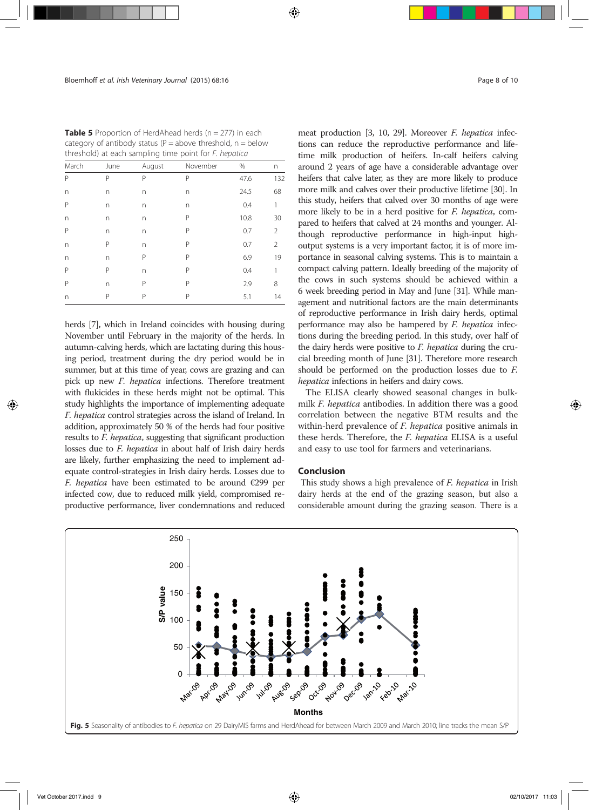| threshold) at each sampling time point for <i>F. hepatica</i> |      |        |          |      |     |  |
|---------------------------------------------------------------|------|--------|----------|------|-----|--|
| March                                                         | June | August | November | %    | n   |  |
| P                                                             | P    | Ρ      | P        | 47.6 | 132 |  |
| n                                                             | n    | n      | n        | 24.5 | 68  |  |
| P                                                             | n    | n      | n        | 0.4  | 1   |  |
| n                                                             | n    | n      | P        | 10.8 | 30  |  |
| P                                                             | n    | n      | P        | 0.7  | 2   |  |
| n                                                             | Ρ    | n      | P        | 0.7  | 2   |  |
| n                                                             | n    | Р      | P        | 6.9  | 19  |  |
| P                                                             | P    | n      | P        | 0.4  | 1   |  |
| Р                                                             | n    | Р      | Р        | 2.9  | 8   |  |
| n                                                             | Ρ    | Ρ      | P        | 5.1  | 14  |  |

**Table 5** Proportion of HerdAhead herds ( $n = 277$ ) in each category of antibody status ( $P =$ above threshold,  $n =$ below

herds [7], which in Ireland coincides with housing during November until February in the majority of the herds. In autumn-calving herds, which are lactating during this housing period, treatment during the dry period would be in summer, but at this time of year, cows are grazing and can pick up new F. hepatica infections. Therefore treatment with flukicides in these herds might not be optimal. This study highlights the importance of implementing adequate F. hepatica control strategies across the island of Ireland. In addition, approximately 50 % of the herds had four positive results to F. hepatica, suggesting that significant production losses due to F. hepatica in about half of Irish dairy herds are likely, further emphasizing the need to implement adequate control-strategies in Irish dairy herds. Losses due to F. hepatica have been estimated to be around  $E$ 299 per infected cow, due to reduced milk yield, compromised reproductive performance, liver condemnations and reduced meat production [3, 10, 29]. Moreover F. hepatica infections can reduce the reproductive performance and lifetime milk production of heifers. In-calf heifers calving around 2 years of age have a considerable advantage over heifers that calve later, as they are more likely to produce more milk and calves over their productive lifetime [30]. In this study, heifers that calved over 30 months of age were more likely to be in a herd positive for F. hepatica, compared to heifers that calved at 24 months and younger. Although reproductive performance in high-input highoutput systems is a very important factor, it is of more importance in seasonal calving systems. This is to maintain a compact calving pattern. Ideally breeding of the majority of

cial breeding month of June [31]. Therefore more research should be performed on the production losses due to F. hepatica infections in heifers and dairy cows. The ELISA clearly showed seasonal changes in bulkmilk F. hepatica antibodies. In addition there was a good correlation between the negative BTM results and the within-herd prevalence of *F. hepatica* positive animals in these herds. Therefore, the F. hepatica ELISA is a useful

the cows in such systems should be achieved within a 6 week breeding period in May and June [31]. While management and nutritional factors are the main determinants of reproductive performance in Irish dairy herds, optimal performance may also be hampered by F. hepatica infections during the breeding period. In this study, over half of the dairy herds were positive to F. hepatica during the cru-

#### Conclusion

This study shows a high prevalence of F. hepatica in Irish dairy herds at the end of the grazing season, but also a considerable amount during the grazing season. There is a

and easy to use tool for farmers and veterinarians.

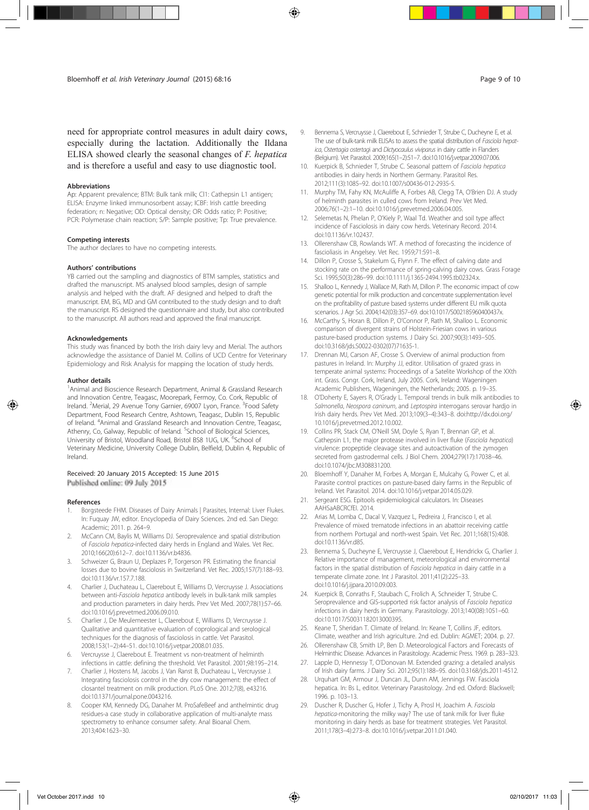need for appropriate control measures in adult dairy cows, especially during the lactation. Additionally the Ildana ELISA showed clearly the seasonal changes of F. hepatica and is therefore a useful and easy to use diagnostic tool.

#### Abbreviations

Ap: Apparent prevalence; BTM: Bulk tank milk; Cl1: Cathepsin L1 antigen; ELISA: Enzyme linked immunosorbent assay; ICBF: Irish cattle breeding federation; n: Negative; OD: Optical density; OR: Odds ratio; P: Positive; PCR: Polymerase chain reaction; S/P: Sample positive; Tp: True prevalence.

#### Competing interests

The author declares to have no competing interests.

#### Authors' contributions

YB carried out the sampling and diagnostics of BTM samples, statistics and drafted the manuscript. MS analysed blood samples, design of sample analysis and helped with the draft. AF designed and helped to draft the manuscript. EM, BG, MD and GM contributed to the study design and to draft the manuscript. RS designed the questionnaire and study, but also contributed to the manuscript. All authors read and approved the final manuscript.

#### Acknowledgements

This study was financed by both the Irish dairy levy and Merial. The authors acknowledge the assistance of Daniel M. Collins of UCD Centre for Veterinary Epidemiology and Risk Analysis for mapping the location of study herds.

#### Author details

<sup>1</sup> Animal and Bioscience Research Department, Animal & Grassland Research and Innovation Centre, Teagasc, Moorepark, Fermoy, Co. Cork, Republic of Ireland. <sup>2</sup>Merial, 29 Avenue Tony Garnier, 69007 Lyon, France. <sup>3</sup>Food Safety Department, Food Research Centre, Ashtown, Teagasc, Dublin 15, Republic of Ireland. <sup>4</sup>Animal and Grassland Research and Innovation Centre, Teagasc, Athenry, Co, Galway, Republic of Ireland. <sup>5</sup>School of Biological Sciences, University of Bristol, Woodland Road, Bristol BS8 1UG, UK. 6School of Veterinary Medicine, University College Dublin, Belfield, Dublin 4, Republic of Ireland.

#### Received: 20 January 2015 Accepted: 15 June 2015

Published online: 09 July 2015

#### References

- Borgsteede FHM. Diseases of Dairy Animals | Parasites, Internal: Liver Flukes. In: Fuquay JW, editor. Encyclopedia of Dairy Sciences. 2nd ed. San Diego: Academic; 2011. p. 264–9.
- 2. McCann CM, Baylis M, Williams DJ. Seroprevalence and spatial distribution of Fasciola hepatica-infected dairy herds in England and Wales. Vet Rec. 2010;166(20):612–7. doi:10.1136/vr.b4836.
- 3. Schweizer G, Braun U, Deplazes P, Torgerson PR. Estimating the financial losses due to bovine fasciolosis in Switzerland. Vet Rec. 2005;157(7):188–93. doi:10.1136/vr.157.7.188.
- 4. Charlier J, Duchateau L, Claerebout E, Williams D, Vercruysse J. Associations between anti-Fasciola hepatica antibody levels in bulk-tank milk samples and production parameters in dairy herds. Prev Vet Med. 2007;78(1):57–66. doi:10.1016/j.prevetmed.2006.09.010.
- 5. Charlier J, De Meulemeester L, Claerebout E, Williams D, Vercruysse J. Qualitative and quantitative evaluation of coprological and serological techniques for the diagnosis of fasciolosis in cattle. Vet Parasitol. 2008;153(1–2):44–51. doi:10.1016/j.vetpar.2008.01.035.
- 6. Vercruysse J, Claerebout E. Treatment vs non-treatment of helminth infections in cattle: defining the threshold. Vet Parasitol. 2001;98:195–214.
- 7. Charlier J, Hostens M, Jacobs J, Van Ranst B, Duchateau L, Vercruysse J. Integrating fasciolosis control in the dry cow management: the effect of closantel treatment on milk production. PLoS One. 2012;7(8), e43216. doi:10.1371/journal.pone.0043216.
- 8. Cooper KM, Kennedy DG, Danaher M. ProSafeBeef and anthelmintic drug residues-a case study in collaborative application of multi-analyte mass spectrometry to enhance consumer safety. Anal Bioanal Chem. 2013;404:1623–30.
- 9. Bennema S, Vercruysse J, Claerebout E, Schnieder T, Strube C, Ducheyne E, et al. The use of bulk-tank milk ELISAs to assess the spatial distribution of Fasciola hepatica, Ostertagia ostertagi and Dictyocaulus viviparus in dairy cattle in Flanders (Belgium). Vet Parasitol. 2009;165(1–2):51–7. doi:10.1016/j.vetpar.2009.07.006.
- 10. Kuerpick B, Schnieder T, Strube C. Seasonal pattern of Fasciola hepatica antibodies in dairy herds in Northern Germany. Parasitol Res. 2012;111(3):1085–92. doi:10.1007/s00436-012-2935-5.
- 11. Murphy TM, Fahy KN, McAuliffe A, Forbes AB, Clegg TA, O'Brien DJ. A study of helminth parasites in culled cows from Ireland. Prev Vet Med. 2006;76(1–2):1–10. doi:10.1016/j.prevetmed.2006.04.005.
- 12. Selemetas N, Phelan P, O'Kiely P, Waal Td. Weather and soil type affect incidence of Fasciolosis in dairy cow herds. Veterinary Record. 2014. doi:10.1136/vr.102437.
- 13. Ollerenshaw CB, Rowlands WT. A method of forecasting the incidence of fascioliasis in Angelsey. Vet Rec. 1959;71:591–8.
- 14. Dillon P, Crosse S, Stakelum G, Flynn F. The effect of calving date and stocking rate on the performance of spring-calving dairy cows. Grass Forage Sci. 1995;50(3):286–99. doi:10.1111/j.1365-2494.1995.tb02324.x.
- 15. Shalloo L, Kennedy J, Wallace M, Rath M, Dillon P. The economic impact of cow genetic potential for milk production and concentrate supplementation level on the profitability of pasture based systems under different EU milk quota scenarios. J Agr Sci. 2004;142(03):357–69. doi:10.1017/S002185960400437x.
- 16. McCarthy S, Horan B, Dillon P, O'Connor P, Rath M, Shalloo L. Economic comparison of divergent strains of Holstein-Friesian cows in various pasture-based production systems. J Dairy Sci. 2007;90(3):1493–505. doi:10.3168/jds.S0022-0302(07)71635-1.
- 17. Drennan MJ, Carson AF, Crosse S. Overview of animal production from pastures in Ireland. In: Murphy JJ, editor. Utilisation of grazed grass in temperate animal systems: Proceedings of a Satelite Workshop of the XXth int. Grass. Congr. Cork, Ireland, July 2005. Cork, Ireland: Wageningen Academic Publishers, Wageningen, the Netherlands; 2005. p. 19–35.
- 18. O'Doherty E, Sayers R, O'Grady L. Temporal trends in bulk milk antibodies to Salmonella, Neospora caninum, and Leptospira interrogans serovar hardjo in Irish dairy herds. Prev Vet Med. 2013;109(3–4):343–8. doi:http://dx.doi.org/ 10.1016/j.prevetmed.2012.10.002.
- 19. Collins PR, Stack CM, O'Neill SM, Doyle S, Ryan T, Brennan GP, et al. Cathepsin L1, the major protease involved in liver fluke (Fasciola hepatica) virulence: propeptide cleavage sites and autoactivation of the zymogen secreted from gastrodermal cells. J Biol Chem. 2004;279(17):17038–46. doi:10.1074/jbc.M308831200.
- 20. Bloemhoff Y, Danaher M, Forbes A, Morgan E, Mulcahy G, Power C, et al. Parasite control practices on pasture-based dairy farms in the Republic of Ireland. Vet Parasitol. 2014. doi:10.1016/j.vetpar.2014.05.029.
- 21. Sergeant ESG. Epitools epidemiological calculators. In: Diseases AAHSaABCRCfEI. 2014.
- 22. Arias M, Lomba C, Dacal V, Vazquez L, Pedreira J, Francisco I, et al. Prevalence of mixed trematode infections in an abattoir receiving cattle from northern Portugal and north-west Spain. Vet Rec. 2011;168(15):408. doi:10.1136/vr.d85.
- 23. Bennema S, Ducheyne E, Vercruysse J, Claerebout E, Hendrickx G, Charlier J. Relative importance of management, meteorological and environmental factors in the spatial distribution of Fasciola hepatica in dairy cattle in a temperate climate zone. Int J Parasitol. 2011;41(2):225–33. doi:10.1016/j.ijpara.2010.09.003.
- 24. Kuerpick B, Conraths F, Staubach C, Frolich A, Schneider T, Strube C. Seroprevalence and GIS-supported risk factor analysis of Fasciola hepatica infections in dairy herds in Germany. Parasitology. 2013;140(08):1051–60. doi:10.1017/S0031182013000395.
- 25. Keane T, Sheridan T. Climate of Ireland. In: Keane T, Collins JF, editors. Climate, weather and Irish agriculture. 2nd ed. Dublin: AGMET; 2004. p. 27.
- 26. Ollerenshaw CB, Smith LP, Ben D. Meteorological Factors and Forecasts of Helminthic Disease. Advances in Parasitology. Academic Press. 1969. p. 283–323.
- 27. Lapple D, Hennessy T, O'Donovan M. Extended grazing: a detailed analysis of Irish dairy farms. J Dairy Sci. 2012;95(1):188–95. doi:10.3168/jds.2011-4512.
- 28. Urquhart GM, Armour J, Duncan JL, Dunn AM, Jennings FW. Fasciola hepatica. In: Bs L, editor. Veterinary Parasitology. 2nd ed. Oxford: Blackwell; 1996. p. 103–13.
- 29. Duscher R, Duscher G, Hofer J, Tichy A, Prosl H, Joachim A. Fasciola hepatica-monitoring the milky way? The use of tank milk for liver fluke monitoring in dairy herds as base for treatment strategies. Vet Parasitol. 2011;178(3–4):273–8. doi:10.1016/j.vetpar.2011.01.040.